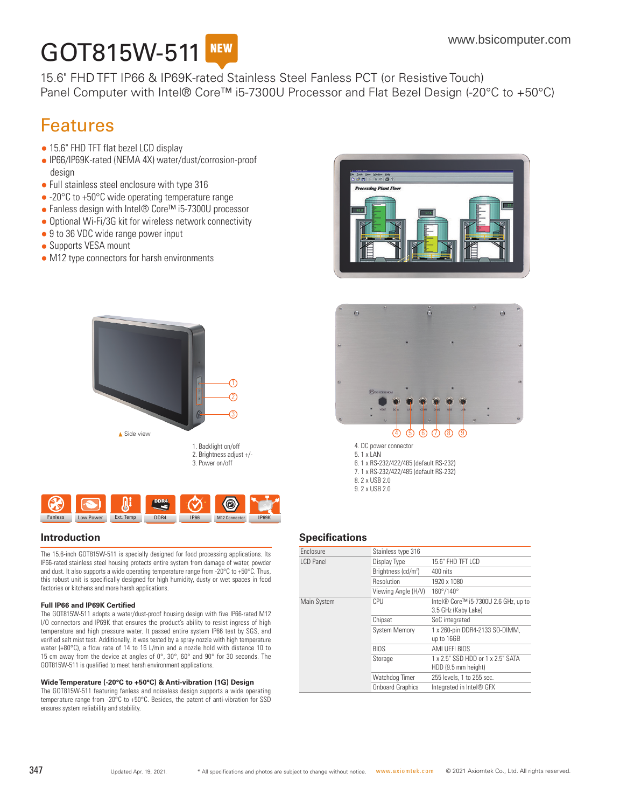## GOT815W-511 **NEW**

15.6" FHD TFT IP66 & IP69K-rated Stainless Steel Fanless PCT (or Resistive Touch) Panel Computer with Intel® Core<sup>™</sup> i5-7300U Processor and Flat Bezel Design (-20°C to +50°C)

# Features

- 15.6" FHD TFT flat bezel LCD display
- IP66/IP69K-rated (NEMA 4X) water/dust/corrosion-proof design
- Full stainless steel enclosure with type 316
- -20°C to +50°C wide operating temperature range
- Fanless design with Intel® Core™ i5-7300U processor
- Optional Wi-Fi/3G kit for wireless network connectivity
- 9 to 36 VDC wide range power input
- Supports VESA mount
- M12 type connectors for harsh environments





The 15.6-inch GOT815W-511 is specially designed for food processing applications. Its IP66-rated stainless steel housing protects entire system from damage of water, powder and dust. It also supports a wide operating temperature range from -20°C to +50°C. Thus, this robust unit is specifically designed for high humidity, dusty or wet spaces in food factories or kitchens and more harsh applications.

#### **Full IP66 and IP69K Certified**

The GOT815W-511 adopts a water/dust-proof housing design with five IP66-rated M12 I/O connectors and IP69K that ensures the product's ability to resist ingress of high temperature and high pressure water. It passed entire system IP66 test by SGS, and verified salt mist test. Additionally, it was tested by a spray nozzle with high temperature water (+80°C), a flow rate of 14 to 16 L/min and a nozzle hold with distance 10 to 15 cm away from the device at angles of 0°, 30°, 60° and 90° for 30 seconds. The GOT815W-511 is qualified to meet harsh environment applications.

#### **Wide Temperature (-20°C to +50°C) & Anti-vibration (1G) Design**

The GOT815W-511 featuring fanless and noiseless design supports a wide operating temperature range from -20°C to +50°C. Besides, the patent of anti-vibration for SSD ensures system reliability and stability.





5. 1 x LAN 6. 1 x RS-232/422/485 (default RS-232) 7. 1 x RS-232/422/485 (default RS-232) 8. 2 x USB 2.0 9. 2 x USB 2.0

#### **Introduction Specifications**

| <b>Fnclosure</b> | Stainless type 316      |                                                             |
|------------------|-------------------------|-------------------------------------------------------------|
| I CD Panel       | Display Type            | 15.6" FHD TFT LCD                                           |
|                  | Brightness $(cd/m2)$    | 400 nits                                                    |
|                  | Resolution              | 1920 x 1080                                                 |
|                  | Viewing Angle (H/V)     | 160°/140°                                                   |
| Main System      | CPU                     | Intel® Core™ i5-7300U 2.6 GHz, up to<br>3.5 GHz (Kaby Lake) |
|                  | Chipset                 | SoC integrated                                              |
|                  | <b>System Memory</b>    | 1 x 260-pin DDR4-2133 SO-DIMM,<br>up to 16GB                |
|                  | <b>BIOS</b>             | AMI UFFI BIOS                                               |
|                  | Storage                 | 1 x 2.5" SSD HDD or 1 x 2.5" SATA<br>HDD (9.5 mm height)    |
|                  | Watchdog Timer          | 255 levels, 1 to 255 sec.                                   |
|                  | <b>Onboard Graphics</b> | Integrated in Intel® GFX                                    |
|                  |                         |                                                             |